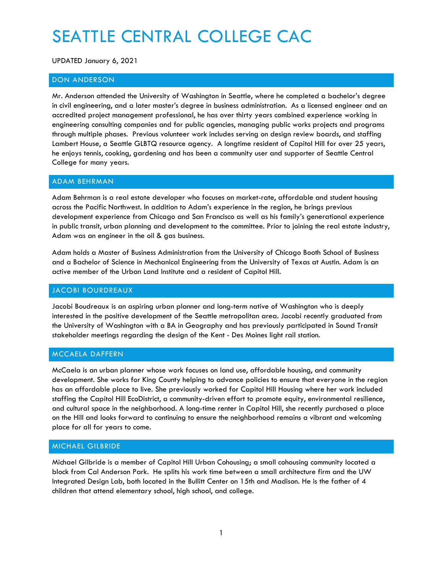# SEATTLE CENTRAL COLLEGE CAC

UPDATED January 6, 2021

# DON ANDERSON

Mr. Anderson attended the University of Washington in Seattle, where he completed a bachelor's degree in civil engineering, and a later master's degree in business administration. As a licensed engineer and an accredited project management professional, he has over thirty years combined experience working in engineering consulting companies and for public agencies, managing public works projects and programs through multiple phases. Previous volunteer work includes serving on design review boards, and staffing Lambert House, a Seattle GLBTQ resource agency. A longtime resident of Capitol Hill for over 25 years, he enjoys tennis, cooking, gardening and has been a community user and supporter of Seattle Central College for many years.

## ADAM BEHRMAN

Adam Behrman is a real estate developer who focuses on market-rate, affordable and student housing across the Pacific Northwest. In addition to Adam's experience in the region, he brings previous development experience from Chicago and San Francisco as well as his family's generational experience in public transit, urban planning and development to the committee. Prior to joining the real estate industry, Adam was an engineer in the oil & gas business.

Adam holds a Master of Business Administration from the University of Chicago Booth School of Business and a Bachelor of Science in Mechanical Engineering from the University of Texas at Austin. Adam is an active member of the Urban Land Institute and a resident of Capitol Hill.

#### JACOBI BOURDREAUX

Jacobi Boudreaux is an aspiring urban planner and long-term native of Washington who is deeply interested in the positive development of the Seattle metropolitan area. Jacobi recently graduated from the University of Washington with a BA in Geography and has previously participated in Sound Transit stakeholder meetings regarding the design of the Kent - Des Moines light rail station.

## MCCAELA DAFFERN

McCaela is an urban planner whose work focuses on land use, affordable housing, and community development. She works for King County helping to advance policies to ensure that everyone in the region has an affordable place to live. She previously worked for Capitol Hill Housing where her work included staffing the Capitol Hill EcoDistrict, a community-driven effort to promote equity, environmental resilience, and cultural space in the neighborhood. A long-time renter in Capitol Hill, she recently purchased a place on the Hill and looks forward to continuing to ensure the neighborhood remains a vibrant and welcoming place for all for years to come.

#### MICHAEL GILBRIDE

Michael Gilbride is a member of Capitol Hill Urban Cohousing; a small cohousing community located a block from Cal Anderson Park. He splits his work time between a small architecture firm and the UW Integrated Design Lab, both located in the Bullitt Center on 15th and Madison. He is the father of 4 children that attend elementary school, high school, and college.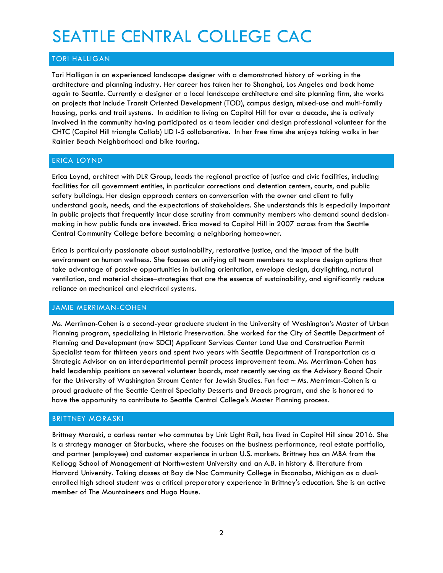# SEATTLE CENTRAL COLLEGE CAC

# TORI HALLIGAN

Tori Halligan is an experienced landscape designer with a demonstrated history of working in the architecture and planning industry. Her career has taken her to Shanghai, Los Angeles and back home again to Seattle. Currently a designer at a local landscape architecture and site planning firm, she works on projects that include Transit Oriented Development (TOD), campus design, mixed-use and multi-family housing, parks and trail systems. In addition to living on Capitol Hill for over a decade, she is actively involved in the community having participated as a team leader and design professional volunteer for the CHTC (Capitol Hill triangle Collab) LID I-5 collaborative. In her free time she enjoys taking walks in her Rainier Beach Neighborhood and bike touring.

### ERICA LOYND

Erica Loynd, architect with DLR Group, leads the regional practice of justice and civic facilities, including facilities for all government entities, in particular corrections and detention centers, courts, and public safety buildings. Her design approach centers on conversation with the owner and client to fully understand goals, needs, and the expectations of stakeholders. She understands this is especially important in public projects that frequently incur close scrutiny from community members who demand sound decisionmaking in how public funds are invested. Erica moved to Capitol Hill in 2007 across from the Seattle Central Community College before becoming a neighboring homeowner.

Erica is particularly passionate about sustainability, restorative justice, and the impact of the built environment on human wellness. She focuses on unifying all team members to explore design options that take advantage of passive opportunities in building orientation, envelope design, daylighting, natural ventilation, and material choices–strategies that are the essence of sustainability, and significantly reduce reliance on mechanical and electrical systems.

## JAMIE MERRIMAN-COHEN

Ms. Merriman-Cohen is a second-year graduate student in the University of Washington's Master of Urban Planning program, specializing in Historic Preservation. She worked for the City of Seattle Department of Planning and Development (now SDCI) Applicant Services Center Land Use and Construction Permit Specialist team for thirteen years and spent two years with Seattle Department of Transportation as a Strategic Advisor on an interdepartmental permit process improvement team. Ms. Merriman-Cohen has held leadership positions on several volunteer boards, most recently serving as the Advisory Board Chair for the University of Washington Stroum Center for Jewish Studies. Fun fact – Ms. Merriman-Cohen is a proud graduate of the Seattle Central Specialty Desserts and Breads program, and she is honored to have the opportunity to contribute to Seattle Central College's Master Planning process.

## BRITTNEY MORASKI

Brittney Moraski, a carless renter who commutes by Link Light Rail, has lived in Capitol Hill since 2016. She is a strategy manager at Starbucks, where she focuses on the business performance, real estate portfolio, and partner (employee) and customer experience in urban U.S. markets. Brittney has an MBA from the Kellogg School of Management at Northwestern University and an A.B. in history & literature from Harvard University. Taking classes at Bay de Noc Community College in Escanaba, Michigan as a dualenrolled high school student was a critical preparatory experience in Brittney's education. She is an active member of The Mountaineers and Hugo House.